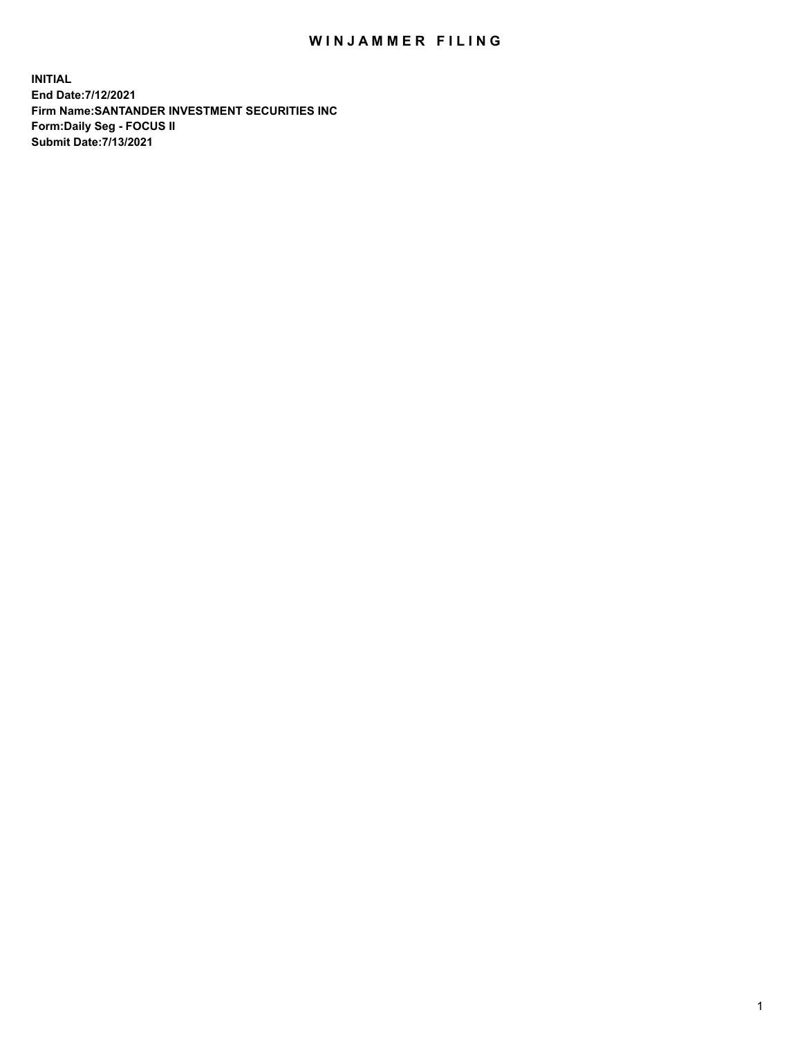## WIN JAMMER FILING

**INITIAL End Date:7/12/2021 Firm Name:SANTANDER INVESTMENT SECURITIES INC Form:Daily Seg - FOCUS II Submit Date:7/13/2021**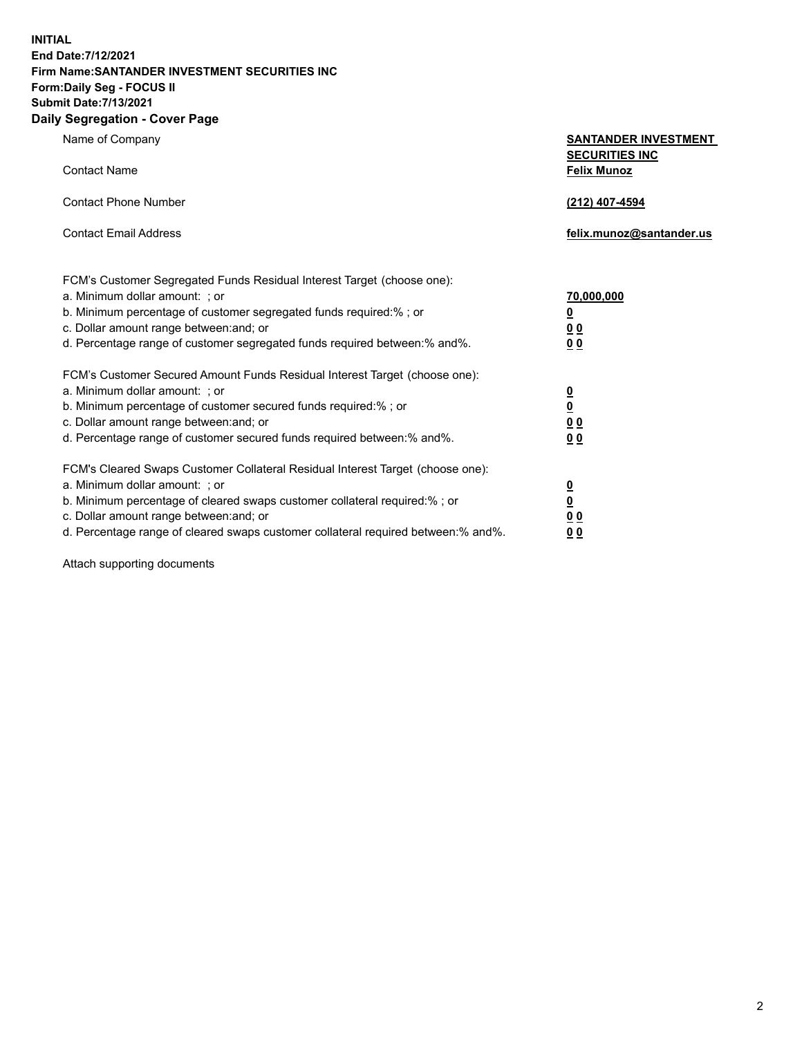**INITIAL End Date:7/12/2021 Firm Name:SANTANDER INVESTMENT SECURITIES INC Form:Daily Seg - FOCUS II Submit Date:7/13/2021 Daily Segregation - Cover Page**

| Name of Company                                                                   | <b>SANTANDER INVESTMENT</b><br><b>SECURITIES INC</b> |
|-----------------------------------------------------------------------------------|------------------------------------------------------|
| <b>Contact Name</b>                                                               | <b>Felix Munoz</b>                                   |
| <b>Contact Phone Number</b>                                                       | (212) 407-4594                                       |
| <b>Contact Email Address</b>                                                      | felix.munoz@santander.us                             |
| FCM's Customer Segregated Funds Residual Interest Target (choose one):            |                                                      |
| a. Minimum dollar amount: ; or                                                    | 70,000,000                                           |
| b. Minimum percentage of customer segregated funds required:% ; or                | <u>0</u>                                             |
| c. Dollar amount range between: and; or                                           | 0 <sub>0</sub>                                       |
| d. Percentage range of customer segregated funds required between:% and%.         | 0 <sub>0</sub>                                       |
| FCM's Customer Secured Amount Funds Residual Interest Target (choose one):        |                                                      |
| a. Minimum dollar amount: ; or                                                    | $\frac{0}{0}$                                        |
| b. Minimum percentage of customer secured funds required:%; or                    |                                                      |
| c. Dollar amount range between: and; or                                           | 0 <sub>0</sub>                                       |
| d. Percentage range of customer secured funds required between:% and%.            | 0 <sub>0</sub>                                       |
| FCM's Cleared Swaps Customer Collateral Residual Interest Target (choose one):    |                                                      |
| a. Minimum dollar amount: ; or                                                    | $\frac{\Omega}{\Omega}$                              |
| b. Minimum percentage of cleared swaps customer collateral required:% ; or        |                                                      |
| c. Dollar amount range between: and; or                                           | 00                                                   |
| d. Percentage range of cleared swaps customer collateral required between:% and%. | 00                                                   |

Attach supporting documents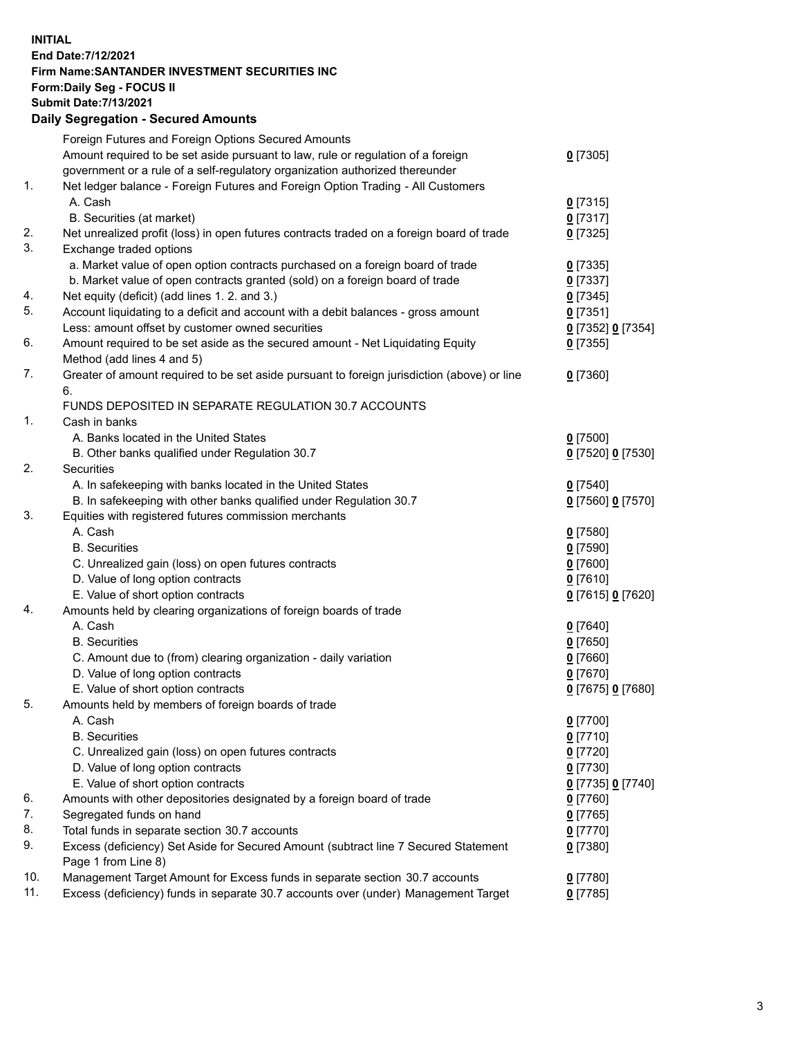**INITIAL End Date:7/12/2021 Firm Name:SANTANDER INVESTMENT SECURITIES INC Form:Daily Seg - FOCUS II Submit Date:7/13/2021 Daily Segregation - Secured Amounts**

|     | Foreign Futures and Foreign Options Secured Amounts                                         |                   |
|-----|---------------------------------------------------------------------------------------------|-------------------|
|     | Amount required to be set aside pursuant to law, rule or regulation of a foreign            | $0$ [7305]        |
|     | government or a rule of a self-regulatory organization authorized thereunder                |                   |
| 1.  | Net ledger balance - Foreign Futures and Foreign Option Trading - All Customers             |                   |
|     | A. Cash                                                                                     | $0$ [7315]        |
|     | B. Securities (at market)                                                                   | $0$ [7317]        |
| 2.  | Net unrealized profit (loss) in open futures contracts traded on a foreign board of trade   | $0$ [7325]        |
| 3.  | Exchange traded options                                                                     |                   |
|     | a. Market value of open option contracts purchased on a foreign board of trade              | $0$ [7335]        |
|     | b. Market value of open contracts granted (sold) on a foreign board of trade                | $0$ [7337]        |
| 4.  | Net equity (deficit) (add lines 1. 2. and 3.)                                               | $0$ [7345]        |
| 5.  | Account liquidating to a deficit and account with a debit balances - gross amount           | $0$ [7351]        |
|     | Less: amount offset by customer owned securities                                            | 0 [7352] 0 [7354] |
| 6.  | Amount required to be set aside as the secured amount - Net Liquidating Equity              | $0$ [7355]        |
|     | Method (add lines 4 and 5)                                                                  |                   |
| 7.  | Greater of amount required to be set aside pursuant to foreign jurisdiction (above) or line | $0$ [7360]        |
|     | 6.                                                                                          |                   |
|     | FUNDS DEPOSITED IN SEPARATE REGULATION 30.7 ACCOUNTS                                        |                   |
| 1.  | Cash in banks                                                                               |                   |
|     | A. Banks located in the United States                                                       | $0$ [7500]        |
|     | B. Other banks qualified under Regulation 30.7                                              | 0 [7520] 0 [7530] |
| 2.  | <b>Securities</b>                                                                           |                   |
|     | A. In safekeeping with banks located in the United States                                   | $0$ [7540]        |
|     | B. In safekeeping with other banks qualified under Regulation 30.7                          | 0 [7560] 0 [7570] |
| 3.  | Equities with registered futures commission merchants                                       |                   |
|     | A. Cash                                                                                     | $0$ [7580]        |
|     | <b>B.</b> Securities                                                                        | $0$ [7590]        |
|     | C. Unrealized gain (loss) on open futures contracts                                         | $0$ [7600]        |
|     | D. Value of long option contracts                                                           | $0$ [7610]        |
|     | E. Value of short option contracts                                                          | 0 [7615] 0 [7620] |
| 4.  | Amounts held by clearing organizations of foreign boards of trade                           |                   |
|     | A. Cash                                                                                     | $0$ [7640]        |
|     | <b>B.</b> Securities                                                                        | $0$ [7650]        |
|     | C. Amount due to (from) clearing organization - daily variation                             | $0$ [7660]        |
|     | D. Value of long option contracts                                                           | $0$ [7670]        |
|     | E. Value of short option contracts                                                          | 0 [7675] 0 [7680] |
| 5.  | Amounts held by members of foreign boards of trade                                          |                   |
|     | A. Cash                                                                                     | 0 [7700]          |
|     | <b>B.</b> Securities                                                                        | $0$ [7710]        |
|     | C. Unrealized gain (loss) on open futures contracts                                         | $0$ [7720]        |
|     | D. Value of long option contracts                                                           | $0$ [7730]        |
|     | E. Value of short option contracts                                                          | 0 [7735] 0 [7740] |
| 6.  | Amounts with other depositories designated by a foreign board of trade                      | $0$ [7760]        |
| 7.  | Segregated funds on hand                                                                    | $0$ [7765]        |
| 8.  | Total funds in separate section 30.7 accounts                                               | $0$ [7770]        |
| 9.  | Excess (deficiency) Set Aside for Secured Amount (subtract line 7 Secured Statement         | $0$ [7380]        |
|     | Page 1 from Line 8)                                                                         |                   |
| 10. | Management Target Amount for Excess funds in separate section 30.7 accounts                 | $0$ [7780]        |
| 11. | Excess (deficiency) funds in separate 30.7 accounts over (under) Management Target          | $0$ [7785]        |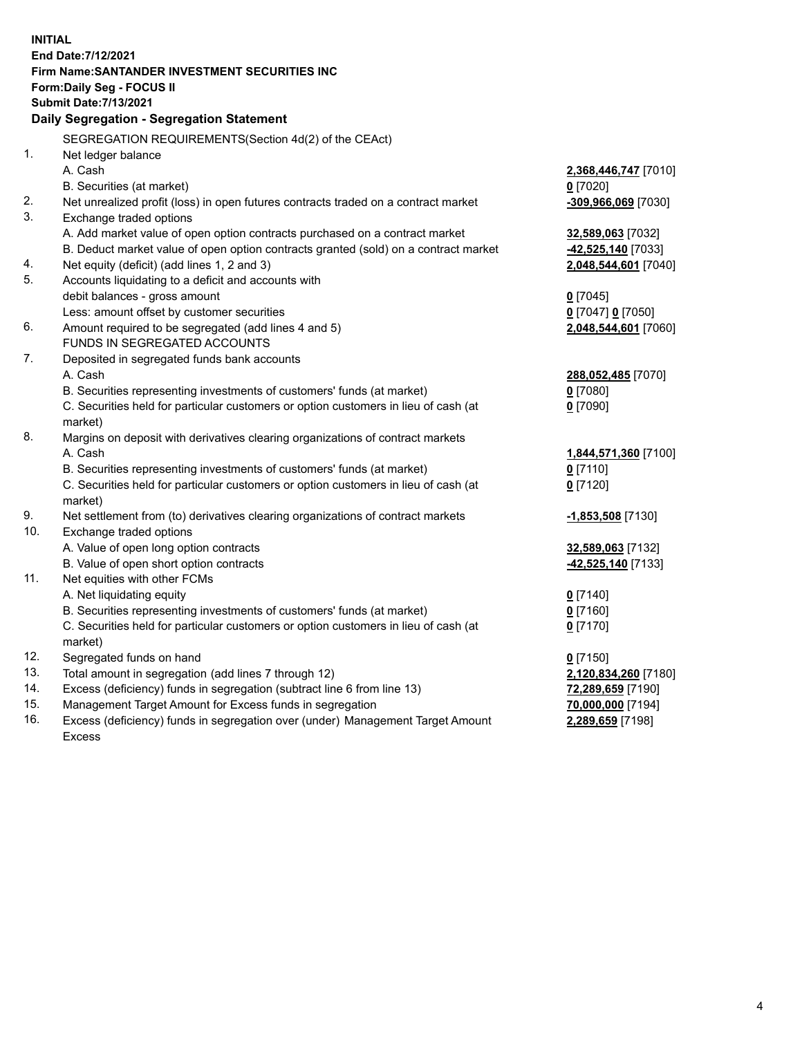| <b>INITIAL</b> |                                                                                           |                      |
|----------------|-------------------------------------------------------------------------------------------|----------------------|
|                | End Date: 7/12/2021                                                                       |                      |
|                | <b>Firm Name: SANTANDER INVESTMENT SECURITIES INC</b>                                     |                      |
|                | Form: Daily Seg - FOCUS II                                                                |                      |
|                | <b>Submit Date: 7/13/2021</b>                                                             |                      |
|                | Daily Segregation - Segregation Statement                                                 |                      |
|                | SEGREGATION REQUIREMENTS(Section 4d(2) of the CEAct)                                      |                      |
| 1.             | Net ledger balance                                                                        |                      |
|                | A. Cash                                                                                   | 2,368,446,747 [7010] |
|                | B. Securities (at market)                                                                 | $0$ [7020]           |
| 2.             | Net unrealized profit (loss) in open futures contracts traded on a contract market        | -309,966,069 [7030]  |
| 3.             | Exchange traded options                                                                   |                      |
|                | A. Add market value of open option contracts purchased on a contract market               | 32,589,063 [7032]    |
|                | B. Deduct market value of open option contracts granted (sold) on a contract market       | 42,525,140 [7033]    |
| 4.             | Net equity (deficit) (add lines 1, 2 and 3)                                               | 2,048,544,601 [7040] |
| 5.             | Accounts liquidating to a deficit and accounts with                                       |                      |
|                | debit balances - gross amount                                                             | $0$ [7045]           |
|                | Less: amount offset by customer securities                                                | 0 [7047] 0 [7050]    |
| 6.             | Amount required to be segregated (add lines 4 and 5)                                      | 2,048,544,601 [7060] |
|                | FUNDS IN SEGREGATED ACCOUNTS                                                              |                      |
| 7.             | Deposited in segregated funds bank accounts                                               |                      |
|                | A. Cash                                                                                   | 288,052,485 [7070]   |
|                | B. Securities representing investments of customers' funds (at market)                    | $0$ [7080]           |
|                | C. Securities held for particular customers or option customers in lieu of cash (at       | $0$ [7090]           |
| 8.             | market)                                                                                   |                      |
|                | Margins on deposit with derivatives clearing organizations of contract markets<br>A. Cash | 1,844,571,360 [7100] |
|                | B. Securities representing investments of customers' funds (at market)                    | $0$ [7110]           |
|                | C. Securities held for particular customers or option customers in lieu of cash (at       | $0$ [7120]           |
|                | market)                                                                                   |                      |
| 9.             | Net settlement from (to) derivatives clearing organizations of contract markets           | -1,853,508 [7130]    |
| 10.            | Exchange traded options                                                                   |                      |
|                | A. Value of open long option contracts                                                    | 32,589,063 [7132]    |
|                | B. Value of open short option contracts                                                   | 42,525,140 [7133]    |
| 11.            | Net equities with other FCMs                                                              |                      |
|                | A. Net liquidating equity                                                                 | $0$ [7140]           |
|                | B. Securities representing investments of customers' funds (at market)                    | $0$ [7160]           |
|                | C. Securities held for particular customers or option customers in lieu of cash (at       | $0$ [7170]           |
|                | market)                                                                                   |                      |
| 12.            | Segregated funds on hand                                                                  | $0$ [7150]           |
| 13.            | Total amount in segregation (add lines 7 through 12)                                      | 2,120,834,260 [7180] |
| 14.            | Excess (deficiency) funds in segregation (subtract line 6 from line 13)                   | 72,289,659 [7190]    |
| 15.            | Management Target Amount for Excess funds in segregation                                  | 70,000,000 [7194]    |
| 16.            | Excess (deficiency) funds in segregation over (under) Management Target Amount            | 2,289,659 [7198]     |
|                | Excess                                                                                    |                      |